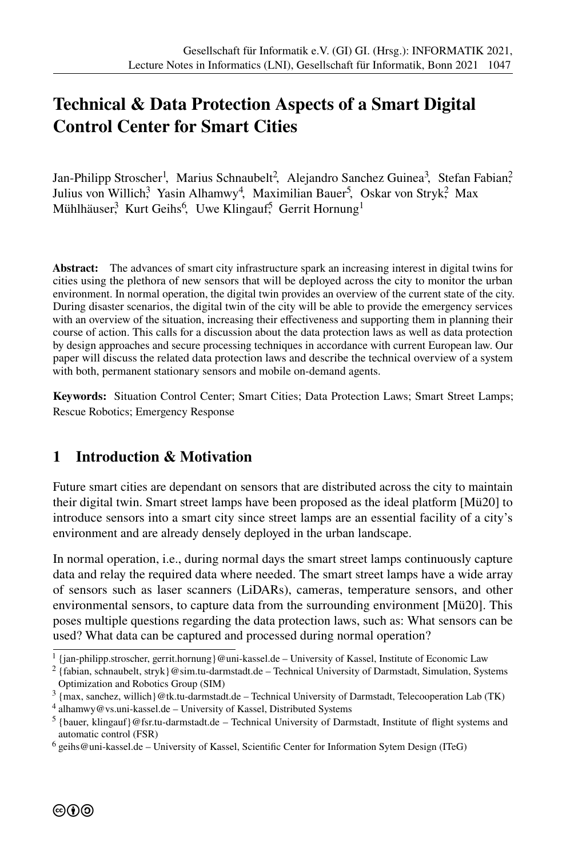# **Technical & Data Protection Aspects of a Smart Digital Control Center for Smart Cities**

Jan-Philipp Stroscher<sup>1</sup>, Marius Schnaubelt<sup>2</sup>, Alejandro Sanchez Guinea<sup>3</sup>, Stefan Fabian? Julius von Willich<sup>3</sup> Yasin Alhamwy<sup>4</sup>, Maximilian Bauer<sup>5</sup>, Oskar von Stryk<sup>2</sup>, Max Mühlhäuser<sup>3</sup> Kurt Geihs<sup>6</sup>, Uwe Klingauf<sup>5</sup>, Gerrit Hornung<sup>1</sup>

**Abstract:** The advances of smart city infrastructure spark an increasing interest in digital twins for cities using the plethora of new sensors that will be deployed across the city to monitor the urban environment. In normal operation, the digital twin provides an overview of the current state of the city. During disaster scenarios, the digital twin of the city will be able to provide the emergency services with an overview of the situation, increasing their effectiveness and supporting them in planning their course of action. This calls for a discussion about the data protection laws as well as data protection by design approaches and secure processing techniques in accordance with current European law. Our paper will discuss the related data protection laws and describe the technical overview of a system with both, permanent stationary sensors and mobile on-demand agents.

**Keywords:** Situation Control Center; Smart Cities; Data Protection Laws; Smart Street Lamps; Rescue Robotics; Emergency Response

### **1 Introduction & Motivation**

Future smart cities are dependant on sensors that are distributed across the city to maintain their digital twin. Smart street lamps have been proposed as the ideal platform [Mü20] to introduce sensors into a smart city since street lamps are an essential facility of a city's environment and are already densely deployed in the urban landscape.

In normal operation, i.e., during normal days the smart street lamps continuously capture data and relay the required data where needed. The smart street lamps have a wide array of sensors such as laser scanners (LiDARs), cameras, temperature sensors, and other environmental sensors, to capture data from the surrounding environment [Mü20]. This poses multiple questions regarding the data protection laws, such as: What sensors can be used? What data can be captured and processed during normal operation?

<sup>1</sup> {jan-philipp.stroscher, gerrit.hornung}@uni-kassel.de – University of Kassel, Institute of Economic Law

<sup>2</sup> {fabian, schnaubelt, stryk}@sim.tu-darmstadt.de – Technical University of Darmstadt, Simulation, Systems Optimization and Robotics Group (SIM)

<sup>3</sup> {max, sanchez, willich}@tk.tu-darmstadt.de – Technical University of Darmstadt, Telecooperation Lab (TK)

<sup>4</sup> alhamwy@vs.uni-kassel.de – University of Kassel, Distributed Systems

<sup>&</sup>lt;sup>5</sup> {bauer, klingauf}@fsr.tu-darmstadt.de – Technical University of Darmstadt, Institute of flight systems and automatic control (FSR)

<sup>6</sup> geihs@uni-kassel.de – University of Kassel, Scientifc Center for Information Sytem Design (ITeG)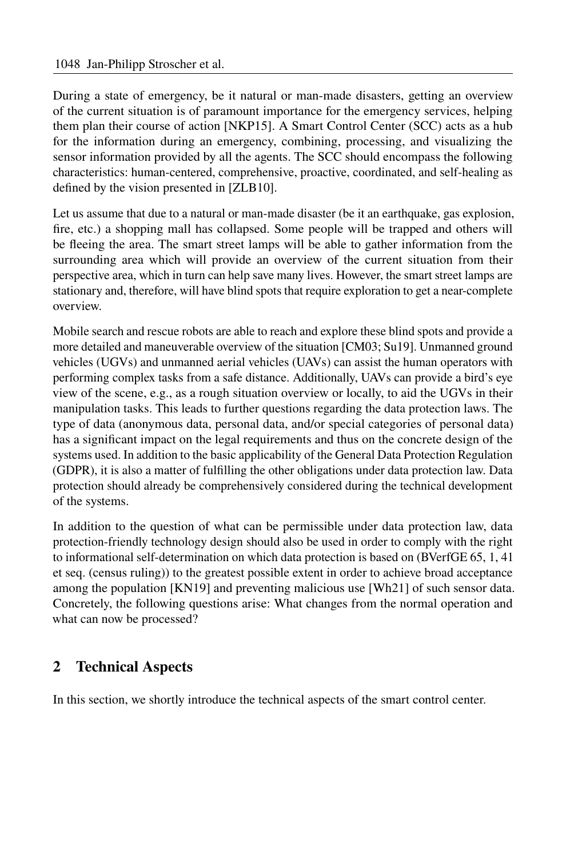During a state of emergency, be it natural or man-made disasters, getting an overview of the current situation is of paramount importance for the emergency services, helping them plan their course of action [NKP15]. A Smart Control Center (SCC) acts as a hub for the information during an emergency, combining, processing, and visualizing the sensor information provided by all the agents. The SCC should encompass the following characteristics: human-centered, comprehensive, proactive, coordinated, and self-healing as defned by the vision presented in [ZLB10].

Let us assume that due to a natural or man-made disaster (be it an earthquake, gas explosion, fre, etc.) a shopping mall has collapsed. Some people will be trapped and others will be feeing the area. The smart street lamps will be able to gather information from the surrounding area which will provide an overview of the current situation from their perspective area, which in turn can help save many lives. However, the smart street lamps are stationary and, therefore, will have blind spots that require exploration to get a near-complete overview.

Mobile search and rescue robots are able to reach and explore these blind spots and provide a more detailed and maneuverable overview of the situation [CM03; Su19]. Unmanned ground vehicles (UGVs) and unmanned aerial vehicles (UAVs) can assist the human operators with performing complex tasks from a safe distance. Additionally, UAVs can provide a bird's eye view of the scene, e.g., as a rough situation overview or locally, to aid the UGVs in their manipulation tasks. This leads to further questions regarding the data protection laws. The type of data (anonymous data, personal data, and/or special categories of personal data) has a signifcant impact on the legal requirements and thus on the concrete design of the systems used. In addition to the basic applicability of the General Data Protection Regulation (GDPR), it is also a matter of fulflling the other obligations under data protection law. Data protection should already be comprehensively considered during the technical development of the systems.

In addition to the question of what can be permissible under data protection law, data protection-friendly technology design should also be used in order to comply with the right to informational self-determination on which data protection is based on (BVerfGE 65, 1, 41 et seq. (census ruling)) to the greatest possible extent in order to achieve broad acceptance among the population [KN19] and preventing malicious use [Wh21] of such sensor data. Concretely, the following questions arise: What changes from the normal operation and what can now be processed?

# **2 Technical Aspects**

In this section, we shortly introduce the technical aspects of the smart control center.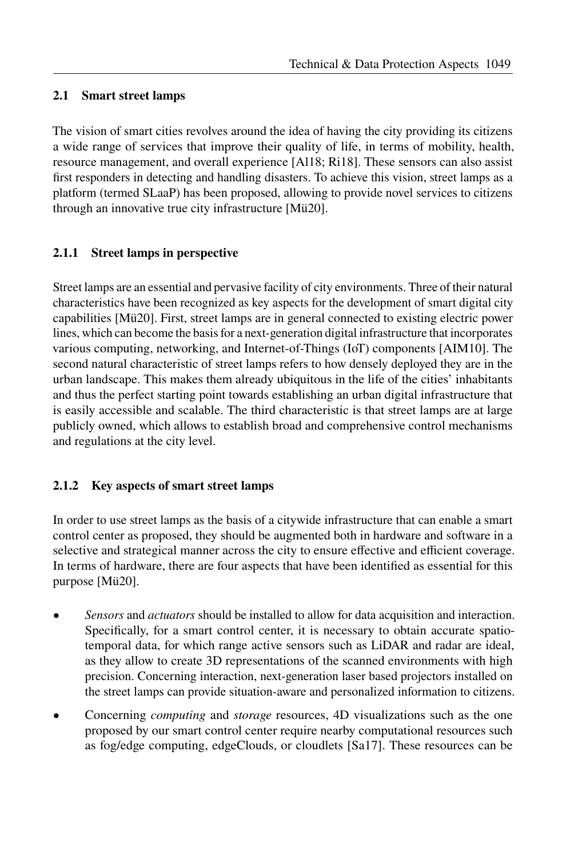#### **2.1 Smart street lamps**

The vision of smart cities revolves around the idea of having the city providing its citizens a wide range of services that improve their quality of life, in terms of mobility, health, resource management, and overall experience [Al18; Ri18]. These sensors can also assist frst responders in detecting and handling disasters. To achieve this vision, street lamps as a platform (termed SLaaP) has been proposed, allowing to provide novel services to citizens through an innovative true city infrastructure [Mü20].

#### **2.1.1 Street lamps in perspective**

Street lamps are an essential and pervasive facility of city environments. Three of their natural characteristics have been recognized as key aspects for the development of smart digital city capabilities [Mü20]. First, street lamps are in general connected to existing electric power lines, which can become the basis for a next-generation digital infrastructure that incorporates various computing, networking, and Internet-of-Things (IoT) components [AIM10]. The second natural characteristic of street lamps refers to how densely deployed they are in the urban landscape. This makes them already ubiquitous in the life of the cities' inhabitants and thus the perfect starting point towards establishing an urban digital infrastructure that is easily accessible and scalable. The third characteristic is that street lamps are at large publicly owned, which allows to establish broad and comprehensive control mechanisms and regulations at the city level.

#### **2.1.2 Key aspects of smart street lamps**

In order to use street lamps as the basis of a citywide infrastructure that can enable a smart control center as proposed, they should be augmented both in hardware and software in a selective and strategical manner across the city to ensure effective and efficient coverage. In terms of hardware, there are four aspects that have been identifed as essential for this purpose [Mü20].

- *Sensors* and *actuators* should be installed to allow for data acquisition and interaction. Specifcally, for a smart control center, it is necessary to obtain accurate spatiotemporal data, for which range active sensors such as LiDAR and radar are ideal, as they allow to create 3D representations of the scanned environments with high precision. Concerning interaction, next-generation laser based projectors installed on the street lamps can provide situation-aware and personalized information to citizens.
- Concerning *computing* and *storage* resources, 4D visualizations such as the one proposed by our smart control center require nearby computational resources such as fog/edge computing, edgeClouds, or cloudlets [Sa17]. These resources can be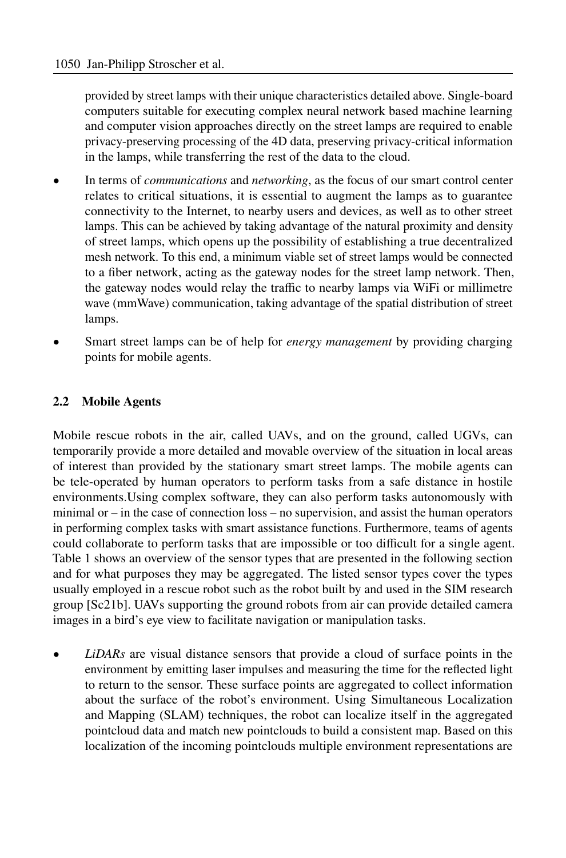provided by street lamps with their unique characteristics detailed above. Single-board computers suitable for executing complex neural network based machine learning and computer vision approaches directly on the street lamps are required to enable privacy-preserving processing of the 4D data, preserving privacy-critical information in the lamps, while transferring the rest of the data to the cloud.

- In terms of *communications* and *networking*, as the focus of our smart control center relates to critical situations, it is essential to augment the lamps as to guarantee connectivity to the Internet, to nearby users and devices, as well as to other street lamps. This can be achieved by taking advantage of the natural proximity and density of street lamps, which opens up the possibility of establishing a true decentralized mesh network. To this end, a minimum viable set of street lamps would be connected to a fber network, acting as the gateway nodes for the street lamp network. Then, the gateway nodes would relay the traffic to nearby lamps via WiFi or millimetre wave (mmWave) communication, taking advantage of the spatial distribution of street lamps.
- Smart street lamps can be of help for *energy management* by providing charging points for mobile agents.

#### **2.2 Mobile Agents**

Mobile rescue robots in the air, called UAVs, and on the ground, called UGVs, can temporarily provide a more detailed and movable overview of the situation in local areas of interest than provided by the stationary smart street lamps. The mobile agents can be tele-operated by human operators to perform tasks from a safe distance in hostile environments.Using complex software, they can also perform tasks autonomously with minimal or – in the case of connection loss – no supervision, and assist the human operators in performing complex tasks with smart assistance functions. Furthermore, teams of agents could collaborate to perform tasks that are impossible or too difficult for a single agent. Table 1 shows an overview of the sensor types that are presented in the following section and for what purposes they may be aggregated. The listed sensor types cover the types usually employed in a rescue robot such as the robot built by and used in the SIM research group [Sc21b]. UAVs supporting the ground robots from air can provide detailed camera images in a bird's eye view to facilitate navigation or manipulation tasks.

• *LiDARs* are visual distance sensors that provide a cloud of surface points in the environment by emitting laser impulses and measuring the time for the refected light to return to the sensor. These surface points are aggregated to collect information about the surface of the robot's environment. Using Simultaneous Localization and Mapping (SLAM) techniques, the robot can localize itself in the aggregated pointcloud data and match new pointclouds to build a consistent map. Based on this localization of the incoming pointclouds multiple environment representations are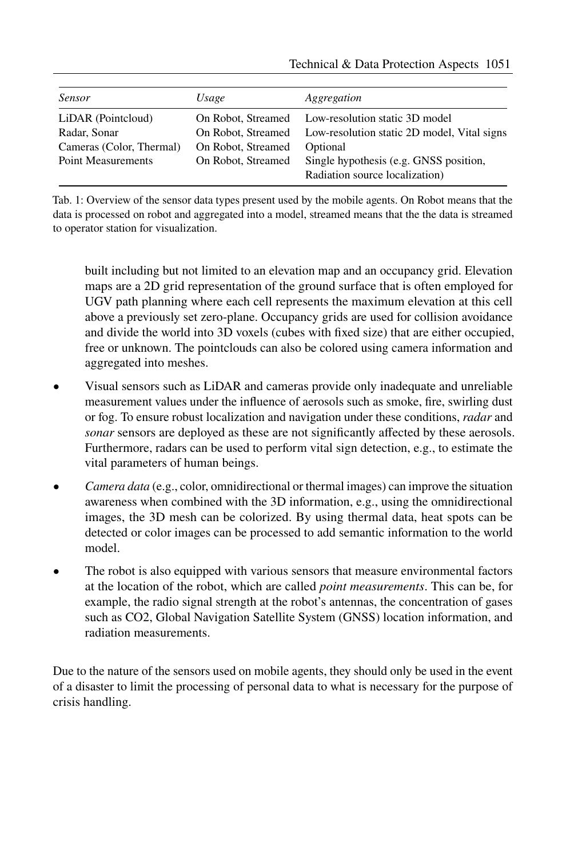| <b>Sensor</b>             | Usage              | Aggregation                                                    |
|---------------------------|--------------------|----------------------------------------------------------------|
| LiDAR (Pointcloud)        |                    | On Robot, Streamed Low-resolution static 3D model              |
| Radar, Sonar              |                    | On Robot, Streamed Low-resolution static 2D model, Vital signs |
| Cameras (Color, Thermal)  | On Robot, Streamed | Optional                                                       |
| <b>Point Measurements</b> | On Robot, Streamed | Single hypothesis (e.g. GNSS position,                         |
|                           |                    | Radiation source localization)                                 |

Tab. 1: Overview of the sensor data types present used by the mobile agents. On Robot means that the data is processed on robot and aggregated into a model, streamed means that the the data is streamed to operator station for visualization.

built including but not limited to an elevation map and an occupancy grid. Elevation maps are a 2D grid representation of the ground surface that is often employed for UGV path planning where each cell represents the maximum elevation at this cell above a previously set zero-plane. Occupancy grids are used for collision avoidance and divide the world into 3D voxels (cubes with fxed size) that are either occupied, free or unknown. The pointclouds can also be colored using camera information and aggregated into meshes.

- Visual sensors such as LiDAR and cameras provide only inadequate and unreliable measurement values under the infuence of aerosols such as smoke, fre, swirling dust or fog. To ensure robust localization and navigation under these conditions, *radar* and *sonar* sensors are deployed as these are not significantly affected by these aerosols. Furthermore, radars can be used to perform vital sign detection, e.g., to estimate the vital parameters of human beings.
- *Camera data* (e.g., color, omnidirectional or thermal images) can improve the situation awareness when combined with the 3D information, e.g., using the omnidirectional images, the 3D mesh can be colorized. By using thermal data, heat spots can be detected or color images can be processed to add semantic information to the world model.
- The robot is also equipped with various sensors that measure environmental factors at the location of the robot, which are called *point measurements*. This can be, for example, the radio signal strength at the robot's antennas, the concentration of gases such as CO2, Global Navigation Satellite System (GNSS) location information, and radiation measurements.

Due to the nature of the sensors used on mobile agents, they should only be used in the event of a disaster to limit the processing of personal data to what is necessary for the purpose of crisis handling.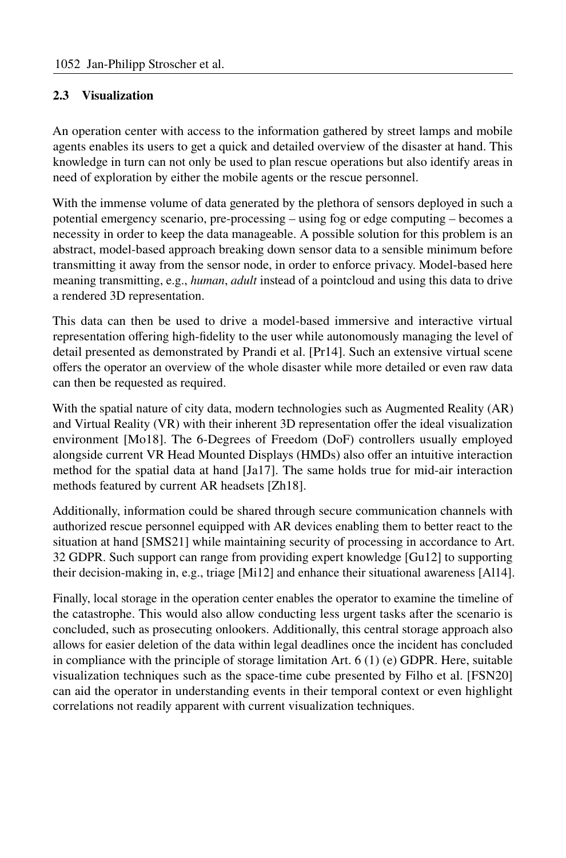#### **2.3 Visualization**

An operation center with access to the information gathered by street lamps and mobile agents enables its users to get a quick and detailed overview of the disaster at hand. This knowledge in turn can not only be used to plan rescue operations but also identify areas in need of exploration by either the mobile agents or the rescue personnel.

With the immense volume of data generated by the plethora of sensors deployed in such a potential emergency scenario, pre-processing – using fog or edge computing – becomes a necessity in order to keep the data manageable. A possible solution for this problem is an abstract, model-based approach breaking down sensor data to a sensible minimum before transmitting it away from the sensor node, in order to enforce privacy. Model-based here meaning transmitting, e.g., *human*, *adult* instead of a pointcloud and using this data to drive a rendered 3D representation.

This data can then be used to drive a model-based immersive and interactive virtual representation ofering high-fdelity to the user while autonomously managing the level of detail presented as demonstrated by Prandi et al. [Pr14]. Such an extensive virtual scene ofers the operator an overview of the whole disaster while more detailed or even raw data can then be requested as required.

With the spatial nature of city data, modern technologies such as Augmented Reality (AR) and Virtual Reality (VR) with their inherent 3D representation ofer the ideal visualization environment [Mo18]. The 6-Degrees of Freedom (DoF) controllers usually employed alongside current VR Head Mounted Displays (HMDs) also ofer an intuitive interaction method for the spatial data at hand [Ja17]. The same holds true for mid-air interaction methods featured by current AR headsets [Zh18].

Additionally, information could be shared through secure communication channels with authorized rescue personnel equipped with AR devices enabling them to better react to the situation at hand [SMS21] while maintaining security of processing in accordance to Art. 32 GDPR. Such support can range from providing expert knowledge [Gu12] to supporting their decision-making in, e.g., triage [Mi12] and enhance their situational awareness [Al14].

Finally, local storage in the operation center enables the operator to examine the timeline of the catastrophe. This would also allow conducting less urgent tasks after the scenario is concluded, such as prosecuting onlookers. Additionally, this central storage approach also allows for easier deletion of the data within legal deadlines once the incident has concluded in compliance with the principle of storage limitation Art. 6 (1) (e) GDPR. Here, suitable visualization techniques such as the space-time cube presented by Filho et al. [FSN20] can aid the operator in understanding events in their temporal context or even highlight correlations not readily apparent with current visualization techniques.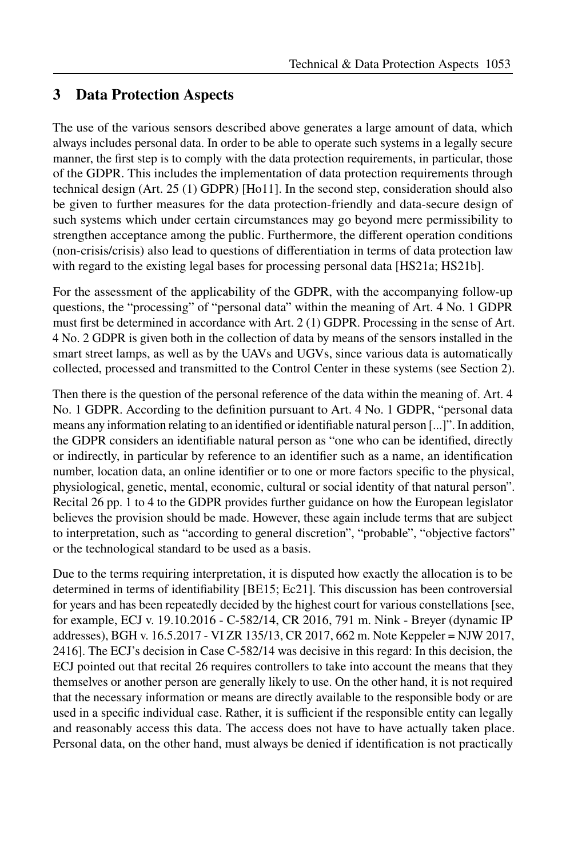## **3 Data Protection Aspects**

The use of the various sensors described above generates a large amount of data, which always includes personal data. In order to be able to operate such systems in a legally secure manner, the first step is to comply with the data protection requirements, in particular, those of the GDPR. This includes the implementation of data protection requirements through technical design (Art. 25 (1) GDPR) [Ho11]. In the second step, consideration should also be given to further measures for the data protection-friendly and data-secure design of such systems which under certain circumstances may go beyond mere permissibility to strengthen acceptance among the public. Furthermore, the diferent operation conditions (non-crisis/crisis) also lead to questions of diferentiation in terms of data protection law with regard to the existing legal bases for processing personal data [HS21a; HS21b].

For the assessment of the applicability of the GDPR, with the accompanying follow-up questions, the "processing" of "personal data" within the meaning of Art. 4 No. 1 GDPR must frst be determined in accordance with Art. 2 (1) GDPR. Processing in the sense of Art. 4 No. 2 GDPR is given both in the collection of data by means of the sensors installed in the smart street lamps, as well as by the UAVs and UGVs, since various data is automatically collected, processed and transmitted to the Control Center in these systems (see Section 2).

Then there is the question of the personal reference of the data within the meaning of. Art. 4 No. 1 GDPR. According to the defnition pursuant to Art. 4 No. 1 GDPR, "personal data means any information relating to an identifed or identifable natural person [...]". In addition, the GDPR considers an identifable natural person as "one who can be identifed, directly or indirectly, in particular by reference to an identifer such as a name, an identifcation number, location data, an online identifer or to one or more factors specifc to the physical, physiological, genetic, mental, economic, cultural or social identity of that natural person". Recital 26 pp. 1 to 4 to the GDPR provides further guidance on how the European legislator believes the provision should be made. However, these again include terms that are subject to interpretation, such as "according to general discretion", "probable", "objective factors" or the technological standard to be used as a basis.

Due to the terms requiring interpretation, it is disputed how exactly the allocation is to be determined in terms of identifability [BE15; Ec21]. This discussion has been controversial for years and has been repeatedly decided by the highest court for various constellations [see, for example, ECJ v. 19.10.2016 - C-582/14, CR 2016, 791 m. Nink - Breyer (dynamic IP addresses), BGH v. 16.5.2017 - VI ZR 135/13, CR 2017, 662 m. Note Keppeler = NJW 2017, 2416]. The ECJ's decision in Case C-582/14 was decisive in this regard: In this decision, the ECJ pointed out that recital 26 requires controllers to take into account the means that they themselves or another person are generally likely to use. On the other hand, it is not required that the necessary information or means are directly available to the responsible body or are used in a specific individual case. Rather, it is sufficient if the responsible entity can legally and reasonably access this data. The access does not have to have actually taken place. Personal data, on the other hand, must always be denied if identifcation is not practically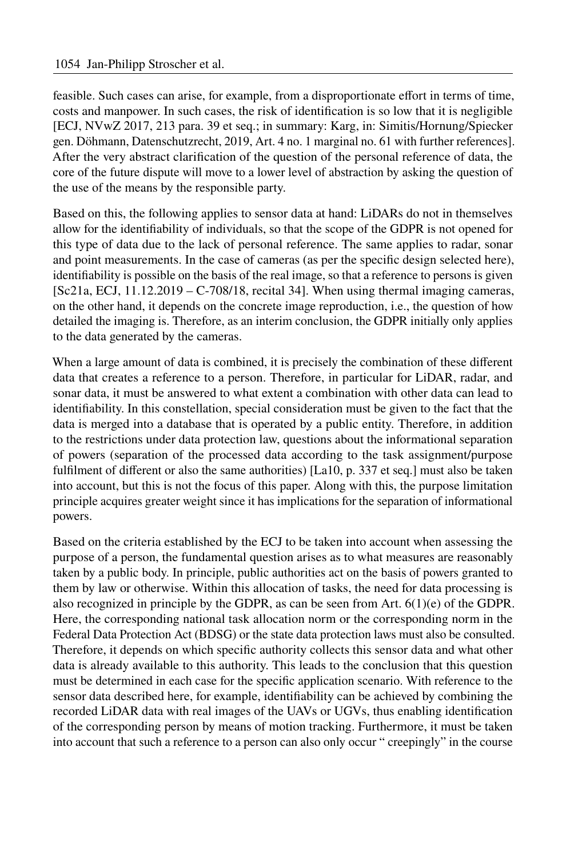feasible. Such cases can arise, for example, from a disproportionate efort in terms of time, costs and manpower. In such cases, the risk of identifcation is so low that it is negligible [ECJ, NVwZ 2017, 213 para. 39 et seq.; in summary: Karg, in: Simitis/Hornung/Spiecker gen. Döhmann, Datenschutzrecht, 2019, Art. 4 no. 1 marginal no. 61 with further references]. After the very abstract clarifcation of the question of the personal reference of data, the core of the future dispute will move to a lower level of abstraction by asking the question of the use of the means by the responsible party.

Based on this, the following applies to sensor data at hand: LiDARs do not in themselves allow for the identifability of individuals, so that the scope of the GDPR is not opened for this type of data due to the lack of personal reference. The same applies to radar, sonar and point measurements. In the case of cameras (as per the specifc design selected here), identifability is possible on the basis of the real image, so that a reference to persons is given  $[Sc21a, ECJ, 11.12.2019 - C-708/18,$  recital 34]. When using thermal imaging cameras, on the other hand, it depends on the concrete image reproduction, i.e., the question of how detailed the imaging is. Therefore, as an interim conclusion, the GDPR initially only applies to the data generated by the cameras.

When a large amount of data is combined, it is precisely the combination of these diferent data that creates a reference to a person. Therefore, in particular for LiDAR, radar, and sonar data, it must be answered to what extent a combination with other data can lead to identifability. In this constellation, special consideration must be given to the fact that the data is merged into a database that is operated by a public entity. Therefore, in addition to the restrictions under data protection law, questions about the informational separation of powers (separation of the processed data according to the task assignment/purpose fulflment of diferent or also the same authorities) [La10, p. 337 et seq.] must also be taken into account, but this is not the focus of this paper. Along with this, the purpose limitation principle acquires greater weight since it has implications for the separation of informational powers.

Based on the criteria established by the ECJ to be taken into account when assessing the purpose of a person, the fundamental question arises as to what measures are reasonably taken by a public body. In principle, public authorities act on the basis of powers granted to them by law or otherwise. Within this allocation of tasks, the need for data processing is also recognized in principle by the GDPR, as can be seen from Art.  $6(1)(e)$  of the GDPR. Here, the corresponding national task allocation norm or the corresponding norm in the Federal Data Protection Act (BDSG) or the state data protection laws must also be consulted. Therefore, it depends on which specifc authority collects this sensor data and what other data is already available to this authority. This leads to the conclusion that this question must be determined in each case for the specifc application scenario. With reference to the sensor data described here, for example, identifability can be achieved by combining the recorded LiDAR data with real images of the UAVs or UGVs, thus enabling identifcation of the corresponding person by means of motion tracking. Furthermore, it must be taken into account that such a reference to a person can also only occur " creepingly" in the course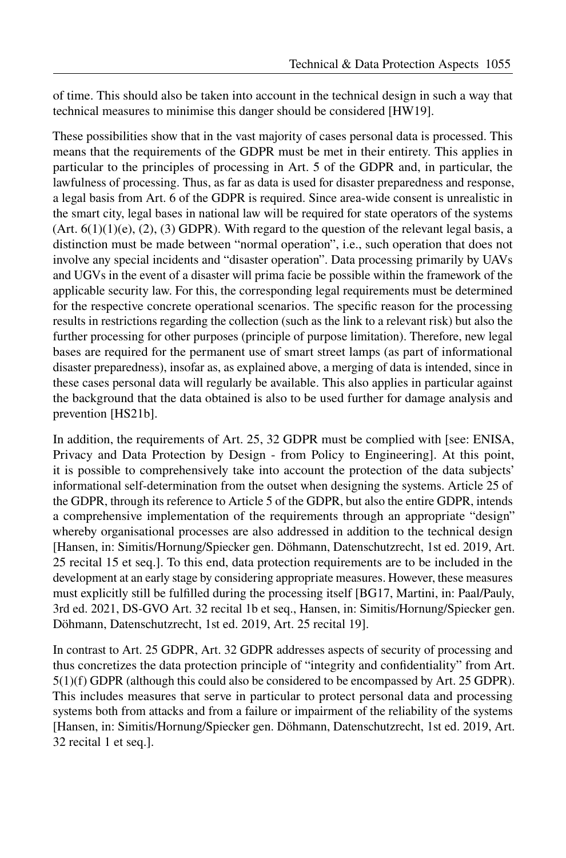of time. This should also be taken into account in the technical design in such a way that technical measures to minimise this danger should be considered [HW19].

These possibilities show that in the vast majority of cases personal data is processed. This means that the requirements of the GDPR must be met in their entirety. This applies in particular to the principles of processing in Art. 5 of the GDPR and, in particular, the lawfulness of processing. Thus, as far as data is used for disaster preparedness and response, a legal basis from Art. 6 of the GDPR is required. Since area-wide consent is unrealistic in the smart city, legal bases in national law will be required for state operators of the systems  $(Art. 6(1)(1)(e), (2), (3) GDPR)$ . With regard to the question of the relevant legal basis, a distinction must be made between "normal operation", i.e., such operation that does not involve any special incidents and "disaster operation". Data processing primarily by UAVs and UGVs in the event of a disaster will prima facie be possible within the framework of the applicable security law. For this, the corresponding legal requirements must be determined for the respective concrete operational scenarios. The specifc reason for the processing results in restrictions regarding the collection (such as the link to a relevant risk) but also the further processing for other purposes (principle of purpose limitation). Therefore, new legal bases are required for the permanent use of smart street lamps (as part of informational disaster preparedness), insofar as, as explained above, a merging of data is intended, since in these cases personal data will regularly be available. This also applies in particular against the background that the data obtained is also to be used further for damage analysis and prevention [HS21b].

In addition, the requirements of Art. 25, 32 GDPR must be complied with [see: ENISA, Privacy and Data Protection by Design - from Policy to Engineering]. At this point, it is possible to comprehensively take into account the protection of the data subjects' informational self-determination from the outset when designing the systems. Article 25 of the GDPR, through its reference to Article 5 of the GDPR, but also the entire GDPR, intends a comprehensive implementation of the requirements through an appropriate "design" whereby organisational processes are also addressed in addition to the technical design [Hansen, in: Simitis/Hornung/Spiecker gen. Döhmann, Datenschutzrecht, 1st ed. 2019, Art. 25 recital 15 et seq.]. To this end, data protection requirements are to be included in the development at an early stage by considering appropriate measures. However, these measures must explicitly still be fulflled during the processing itself [BG17, Martini, in: Paal/Pauly, 3rd ed. 2021, DS-GVO Art. 32 recital 1b et seq., Hansen, in: Simitis/Hornung/Spiecker gen. Döhmann, Datenschutzrecht, 1st ed. 2019, Art. 25 recital 19].

In contrast to Art. 25 GDPR, Art. 32 GDPR addresses aspects of security of processing and thus concretizes the data protection principle of "integrity and confdentiality" from Art. 5(1)(f) GDPR (although this could also be considered to be encompassed by Art. 25 GDPR). This includes measures that serve in particular to protect personal data and processing systems both from attacks and from a failure or impairment of the reliability of the systems [Hansen, in: Simitis/Hornung/Spiecker gen. Döhmann, Datenschutzrecht, 1st ed. 2019, Art. 32 recital 1 et seq.].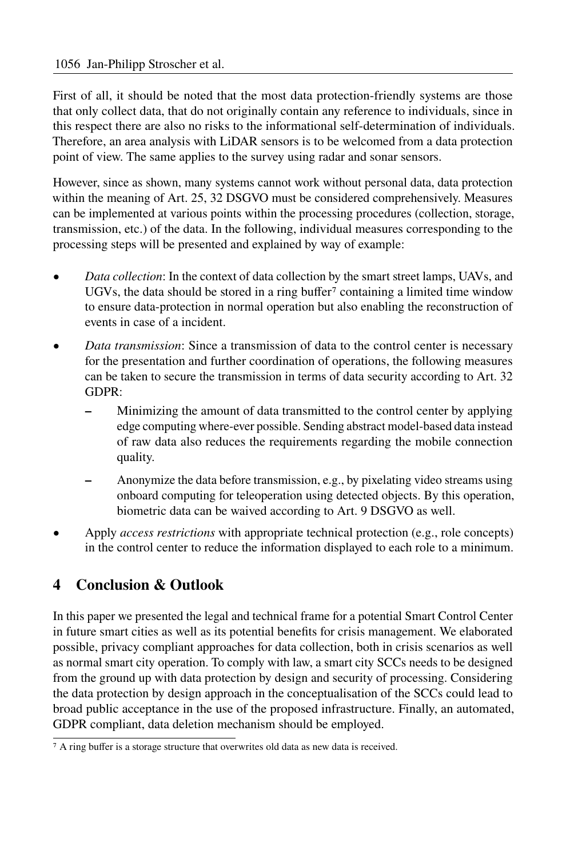First of all, it should be noted that the most data protection-friendly systems are those that only collect data, that do not originally contain any reference to individuals, since in this respect there are also no risks to the informational self-determination of individuals. Therefore, an area analysis with LiDAR sensors is to be welcomed from a data protection point of view. The same applies to the survey using radar and sonar sensors.

However, since as shown, many systems cannot work without personal data, data protection within the meaning of Art. 25, 32 DSGVO must be considered comprehensively. Measures can be implemented at various points within the processing procedures (collection, storage, transmission, etc.) of the data. In the following, individual measures corresponding to the processing steps will be presented and explained by way of example:

- *Data collection*: In the context of data collection by the smart street lamps, UAVs, and UGVs, the data should be stored in a ring buffer<sup>7</sup> containing a limited time window to ensure data-protection in normal operation but also enabling the reconstruction of events in case of a incident.
- *Data transmission*: Since a transmission of data to the control center is necessary for the presentation and further coordination of operations, the following measures can be taken to secure the transmission in terms of data security according to Art. 32 GDPR:
	- **–** Minimizing the amount of data transmitted to the control center by applying edge computing where-ever possible. Sending abstract model-based data instead of raw data also reduces the requirements regarding the mobile connection quality.
	- **–** Anonymize the data before transmission, e.g., by pixelating video streams using onboard computing for teleoperation using detected objects. By this operation, biometric data can be waived according to Art. 9 DSGVO as well.
- Apply *access restrictions* with appropriate technical protection (e.g., role concepts) in the control center to reduce the information displayed to each role to a minimum.

# **4 Conclusion & Outlook**

In this paper we presented the legal and technical frame for a potential Smart Control Center in future smart cities as well as its potential benefts for crisis management. We elaborated possible, privacy compliant approaches for data collection, both in crisis scenarios as well as normal smart city operation. To comply with law, a smart city SCCs needs to be designed from the ground up with data protection by design and security of processing. Considering the data protection by design approach in the conceptualisation of the SCCs could lead to broad public acceptance in the use of the proposed infrastructure. Finally, an automated, GDPR compliant, data deletion mechanism should be employed.

<sup>&</sup>lt;sup>7</sup> A ring buffer is a storage structure that overwrites old data as new data is received.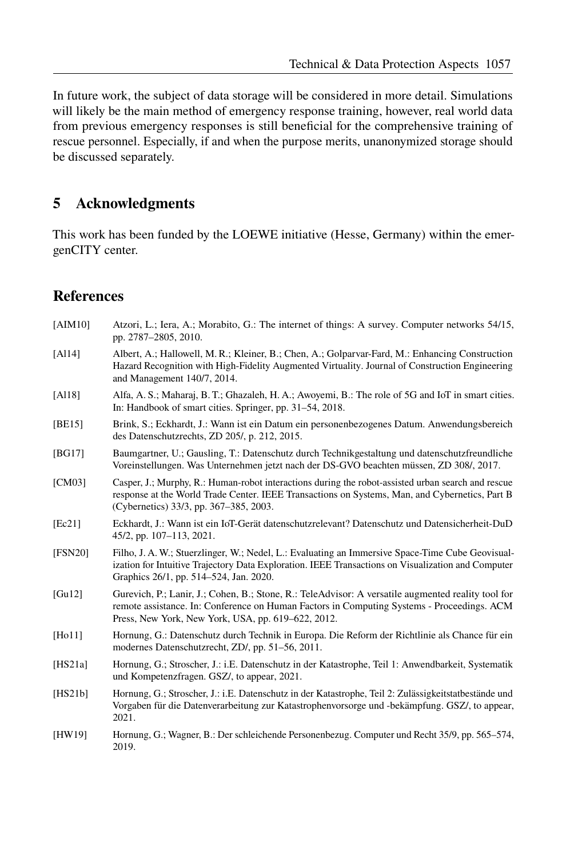In future work, the subject of data storage will be considered in more detail. Simulations will likely be the main method of emergency response training, however, real world data from previous emergency responses is still benefcial for the comprehensive training of rescue personnel. Especially, if and when the purpose merits, unanonymized storage should be discussed separately.

### **5 Acknowledgments**

This work has been funded by the LOEWE initiative (Hesse, Germany) within the emergenCITY center.

### **References**

| [AIM10]  | Atzori, L.; Iera, A.; Morabito, G.: The internet of things: A survey. Computer networks 54/15,<br>pp. 2787-2805, 2010.                                                                                                                                 |
|----------|--------------------------------------------------------------------------------------------------------------------------------------------------------------------------------------------------------------------------------------------------------|
| $[Al14]$ | Albert, A.; Hallowell, M. R.; Kleiner, B.; Chen, A.; Golparvar-Fard, M.: Enhancing Construction<br>Hazard Recognition with High-Fidelity Augmented Virtuality. Journal of Construction Engineering<br>and Management 140/7, 2014.                      |
| [A118]   | Alfa, A. S.; Maharaj, B. T.; Ghazaleh, H. A.; Awoyemi, B.: The role of 5G and IoT in smart cities.<br>In: Handbook of smart cities. Springer, pp. 31–54, 2018.                                                                                         |
| [BE15]   | Brink, S.; Eckhardt, J.: Wann ist ein Datum ein personenbezogenes Datum. Anwendungsbereich<br>des Datenschutzrechts, ZD 205/, p. 212, 2015.                                                                                                            |
| [BG17]   | Baumgartner, U.; Gausling, T.: Datenschutz durch Technikgestaltung und datenschutzfreundliche<br>Voreinstellungen. Was Unternehmen jetzt nach der DS-GVO beachten müssen, ZD 308/, 2017.                                                               |
| [CM03]   | Casper, J.; Murphy, R.: Human-robot interactions during the robot-assisted urban search and rescue<br>response at the World Trade Center. IEEE Transactions on Systems, Man, and Cybernetics, Part B<br>(Cybernetics) 33/3, pp. 367–385, 2003.         |
| [Ec21]   | Eckhardt, J.: Wann ist ein IoT-Gerät datenschutzrelevant? Datenschutz und Datensicherheit-DuD<br>45/2, pp. 107-113, 2021.                                                                                                                              |
| [FSN20]  | Filho, J. A. W.; Stuerzlinger, W.; Nedel, L.: Evaluating an Immersive Space-Time Cube Geovisual-<br>ization for Intuitive Trajectory Data Exploration. IEEE Transactions on Visualization and Computer<br>Graphics 26/1, pp. 514–524, Jan. 2020.       |
| [Gu12]   | Gurevich, P.; Lanir, J.; Cohen, B.; Stone, R.: TeleAdvisor: A versatile augmented reality tool for<br>remote assistance. In: Conference on Human Factors in Computing Systems - Proceedings. ACM<br>Press, New York, New York, USA, pp. 619–622, 2012. |
| [Ho11]   | Hornung, G.: Datenschutz durch Technik in Europa. Die Reform der Richtlinie als Chance für ein<br>modernes Datenschutzrecht, ZD/, pp. 51–56, 2011.                                                                                                     |
| [HS21a]  | Hornung, G.; Stroscher, J.: i.E. Datenschutz in der Katastrophe, Teil 1: Anwendbarkeit, Systematik<br>und Kompetenzfragen. GSZ/, to appear, 2021.                                                                                                      |
| [HS21b]  | Hornung, G.; Stroscher, J.: i.E. Datenschutz in der Katastrophe, Teil 2: Zulässigkeitstatbestände und<br>Vorgaben für die Datenverarbeitung zur Katastrophenvorsorge und -bekämpfung. GSZ/, to appear,<br>2021.                                        |
| [HW19]   | Hornung, G.; Wagner, B.: Der schleichende Personenbezug. Computer und Recht 35/9, pp. 565–574,<br>2019.                                                                                                                                                |